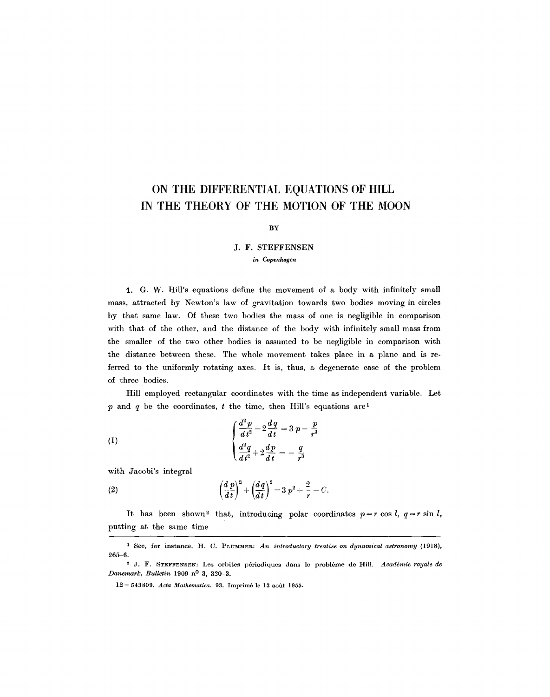# **ON THE DIFFERENTIAL EQUATIONS OF HILL IN THE THEORY OF THE MOTION OF THE MOON**

#### **BY**

## J. F. **STEFFENSEN**  *in Copenhagen*

1. G. W. Hill's equations define the movement of a body with infinitely small mass, attracted by Newton's law of gravitation towards two bodies moving in circles by that same law. Of these two bodies the mass of one is negligible in comparison with that of the other, and the distance of the body with infinitely small mass from the smaller of the two other bodies is assumed to be negligible in comparison with the distance between these. The whole movement takes place in a plane and is referred to the uniformly rotating axes. It is, thus, a degenerate case of the problem of three bodies.

Hill employed rectangular coordinates with the time as independent variable. Let p and q be the coordinates, t the time, then Hill's equations are 1

(1) 
$$
\begin{cases} \frac{d^2p}{dt^2} - 2\frac{dq}{dt} = 3 \ p - \frac{p}{r^3} \\ \frac{d^2q}{dt^2} + 2\frac{dp}{dt} = -\frac{q}{r^3} \end{cases}
$$

with Jacobi's integral

(2) 
$$
\left(\frac{d p}{d t}\right)^2 + \left(\frac{d q}{d t}\right)^2 = 3 p^2 + \frac{2}{r} - C.
$$

It has been shown<sup>2</sup> that, introducing polar coordinates  $p = r \cos l$ ,  $q = r \sin l$ , putting at the same time

<sup>1</sup> See, for instance, H. C. PLUMMER: *An introductory treatise on dynamical astronomy* (1918), 265-6.

<sup>&</sup>lt;sup>2</sup> J. F. STEFFENSEN: Les orbites périodiques dans le problème de Hill. *Académie royale de Danemark, Bulletin* 1909 n<sup>0</sup> 3, 320-3.

<sup>12- 543809.</sup> *Acta Mathematica*. 93. Imprimé le 13 août 1955.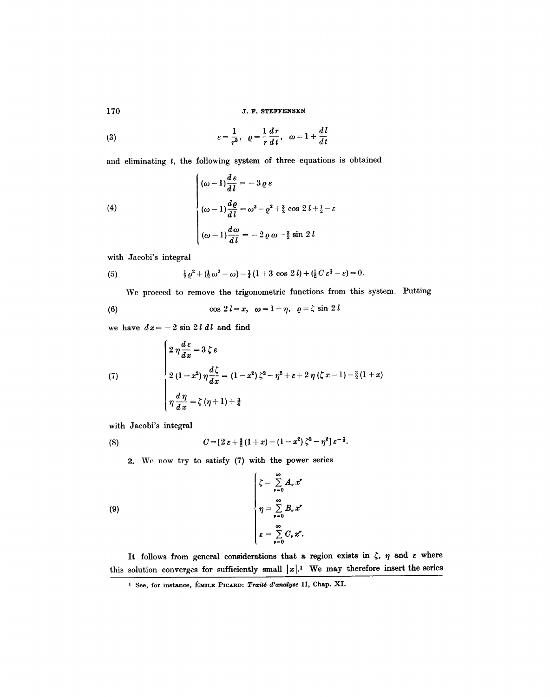**170 J.F. STEFFENSEN** 

(3) 
$$
\varepsilon = \frac{1}{r^3}, \quad \rho = \frac{1}{r} \frac{dr}{dt}, \quad \omega = 1 + \frac{dl}{dt}
$$

and eliminating  $t$ , the following system of three equations is obtained

(4)  

$$
\begin{cases} (\omega - 1)\frac{d\epsilon}{dl} = -3 \varrho \epsilon \\ (\omega - 1)\frac{d\varrho}{dl} = \omega^2 - \varrho^2 + \frac{3}{2}\cos 2l + \frac{1}{2} - \epsilon \\ (\omega - 1)\frac{d\omega}{dl} = -2 \varrho \omega - \frac{3}{2}\sin 2l \end{cases}
$$

with Jacobi's integral

(5) 
$$
\frac{1}{2}\varrho^2 + (\frac{1}{2}\omega^2 - \omega) - \frac{1}{4}(1+3\cos 2l) + (\frac{1}{2}C\,\varepsilon^{\frac{2}{3}} - \varepsilon) = 0.
$$

We proceed to remove the trigonometric functions from this system. Putting

(6) 
$$
\cos 2l = x, \quad \omega = 1 + \eta, \quad \varrho = \zeta \sin 2l
$$

we have  $dx = -2 \sin 2 l \, dl$  and find

(7)  

$$
\begin{cases} 2 \eta \frac{d \epsilon}{dx} = 3 \zeta \epsilon \\ 2 (1 - x^2) \eta \frac{d \zeta}{dx} = (1 - x^2) \zeta^2 - \eta^2 + \epsilon + 2 \eta (\zeta x - 1) - \frac{3}{2} (1 + x) \\ \eta \frac{d \eta}{dx} = \zeta (\eta + 1) + \frac{3}{4} \end{cases}
$$

with Jacobi's integral

(8) 
$$
C = [2 \varepsilon + \frac{3}{2}(1+x) - (1-x^2)\zeta^2 - \eta^2] \varepsilon^{-\frac{3}{2}}.
$$

2. We now try to satisfy (7) with the power series

(9)  

$$
\begin{cases}\n\zeta = \sum_{r=0}^{\infty} A_r x^r \\
\eta = \sum_{r=0}^{\infty} B_r x^r \\
\epsilon = \sum_{r=0}^{\infty} C_r x^r.\n\end{cases}
$$

It follows from general considerations that a region exists in  $\zeta$ ,  $\eta$  and  $\varepsilon$  where this solution converges for sufficiently small  $|x|$ .<sup>1</sup> We may therefore insert the series

<sup>&</sup>lt;sup>1</sup> See, for instance, ÉMILE PICARD: *Traité d'analyse* II, Chap. XI.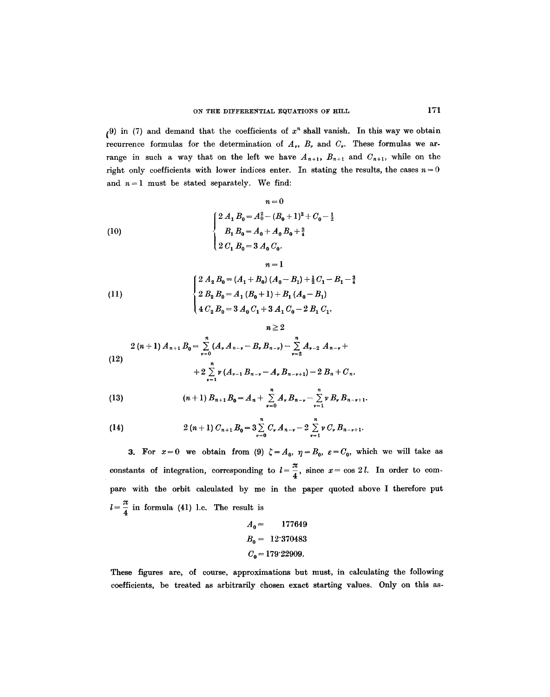(9) in (7) and demand that the coefficients of  $x^n$  shall vanish. In this way we obtain recurrence formulas for the determination of  $A_{\nu}$ ,  $B_{\nu}$  and  $C_{\nu}$ . These formulas we arrange in such a way that on the left we have  $A_{n+1}$ ,  $B_{n+1}$  and  $C_{n+1}$ , while on the right only coefficients with lower indices enter. In stating the results, the cases  $n=0$ and  $n = 1$  must be stated separately. We find:

 $n=1$ 

 $n\geq 2$ 

(10)  

$$
n = 0
$$

$$
\begin{cases} 2 A_1 B_0 = A_0^2 - (B_0 + 1)^2 + C_0 - \frac{1}{2} \\ B_1 B_0 = A_0 + A_0 B_0 + \frac{3}{4} \\ 2 C_1 B_0 = 3 A_0 C_0. \end{cases}
$$

(11)  

$$
\begin{cases}\n2 A_2 B_0 = (A_1 + B_0) (A_0 - B_1) + \frac{1}{2} C_1 - B_1 - \frac{3}{4} \\
2 B_2 B_0 = A_1 (B_0 + 1) + B_1 (A_0 - B_1) \\
4 C_2 B_0 = 3 A_0 C_1 + 3 A_1 C_0 - 2 B_1 C_1.\n\end{cases}
$$

(12)  

$$
2 (n + 1) A_{n+1} B_0 = \sum_{\nu=0}^n (A_{\nu} A_{n-\nu} - B_{\nu} B_{n-\nu}) - \sum_{\nu=2}^n A_{\nu-2} A_{n-\nu} +
$$

$$
+ 2 \sum_{\nu=1}^n \nu (A_{\nu-1} B_{n-\nu} - A_{\nu} B_{n-\nu+1}) - 2 B_n + C_n.
$$

(13) 
$$
(n+1) B_{n+1} B_0 = A_n + \sum_{\nu=0}^n A_\nu B_{n-\nu} - \sum_{\nu=1}^n \nu B_\nu B_{n-\nu+1}.
$$

(14) 
$$
2 (n+1) C_{n+1} B_0 = 3 \sum_{\nu=0}^{n} C_{\nu} A_{n-\nu} - 2 \sum_{\nu=1}^{n} \nu C_{\nu} B_{n-\nu+1}.
$$

3. For  $x=0$  we obtain from (9)  $\zeta = A_0$ ,  $\eta = B_0$ ,  $\varepsilon = C_0$ , which we will take as constants of integration, corresponding to  $l=\frac{\pi}{4}$ , since  $x=\cos 2 l$ . In order to compare with the orbit calculated by me in the paper quoted above I therefore put  $l=\frac{\pi}{4}$  in formula (41) l.c. The result is

$$
A_0 = 177649
$$
  
\n
$$
B_0 = 12.370483
$$
  
\n
$$
C_0 = 179.22909.
$$

These figures are, of course, approximations but must, in calculating the following coefficients, be treated as arbitrarily chosen exact starting values. Only on this as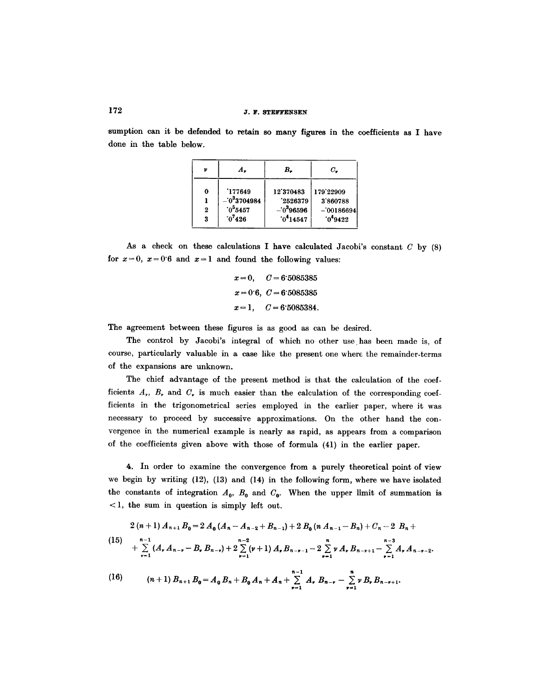sumption can it be defended to retain so many figures in the coefficients as I have done in the table below.

| v                        | A.,                                                  | в.                                                | с.                                                |
|--------------------------|------------------------------------------------------|---------------------------------------------------|---------------------------------------------------|
| 0<br>$\overline{2}$<br>3 | 177649<br>$-033704984$<br>$.0^{5}5457$<br>$0^{7}426$ | 12'370483<br>2526379<br>$-0396596$<br>$0^4$ 14547 | 179'22909<br>3'860788<br>$-00186694$<br>$0^49422$ |

As a check on these calculations I have calculated Jacobi's constant  $C$  by  $(8)$ for  $x=0$ ,  $x=0$  6 and  $x=1$  and found the following values:

 $x=0$ ,  $C=6.5085385$  $x=0.6, C=6.5085385$  $x=1,$   $C= 6.5085384.$ 

The agreement between these figures is as good as can be desired.

The control by Jacobi's integral of which no other use has been made is, of course, particularly valuable in a case like the present one where the remainder-terms of the expansions are unknown.

The chief advantage of the present method is that the calculation of the coefficients  $A_r$ ,  $B_r$ , and  $C_r$  is much easier than the calculation of the corresponding coefficients in the trigonometrical series employed in the earlier paper, where it was necessary to proceed by successive approximations. On the other hand the convergence in the numerical example is nearly as rapid, as appears from a comparison of the coefficients given above with those of formula (41) in the earlier paper.

4. In order to examine the convergence from a purely theoretical point of view we begin by writing (12), (13) and (14) in the following form, where we have isolated the constants of integration  $A_0$ ,  $B_0$  and  $C_0$ . When the upper limit of summation is < 1, the sum in question is simply left out.

$$
2 (n + 1) A_{n+1} B_0 = 2 A_0 (A_n - A_{n-2} + B_{n-1}) + 2 B_0 (n A_{n-1} - B_n) + C_n - 2 B_n +
$$
  
\n
$$
+ \sum_{\nu=1}^{n-1} (A_{\nu} A_{n-\nu} - B_{\nu} B_{n-\nu}) + 2 \sum_{\nu=1}^{n-2} (\nu+1) A_{\nu} B_{n-\nu-1} - 2 \sum_{\nu=1}^{n} \nu A_{\nu} B_{n-\nu+1} - \sum_{\nu=1}^{n-3} A_{\nu} A_{n-\nu-2}.
$$
  
\n(16) 
$$
(n+1) B_{n+1} B_0 = A_0 B_n + B_0 A_n + A_n + \sum_{\nu=1}^{n-1} A_{\nu} B_{n-\nu} - \sum_{\nu=1}^{n} \nu B_{\nu} B_{n-\nu+1}.
$$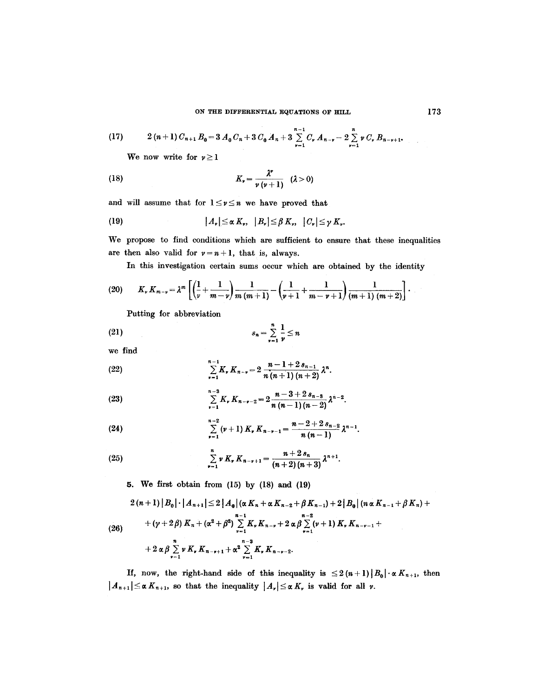(17) 
$$
2(n+1) C_{n+1} B_0 = 3 A_0 C_n + 3 C_0 A_n + 3 \sum_{\nu=1}^{n-1} C_{\nu} A_{n-\nu} - 2 \sum_{\nu=1}^{n} \nu C_{\nu} B_{n-\nu+1}.
$$

We now write for  $\nu \geq 1$ 

(18) 
$$
K_{\nu} = \frac{\lambda^{\nu}}{\nu (\nu + 1)} \quad (\lambda > 0)
$$

and will assume that for  $1 \leq v \leq n$  we have proved that

(19) 
$$
|A_{\nu}| \leq \alpha K_{\nu}, \quad |B_{\nu}| \leq \beta K_{\nu}, \quad |C_{\nu}| \leq \gamma K_{\nu}.
$$

We propose to find conditions which are sufficient to ensure that these inequalities are then also valid for  $v=n+1$ , that is, always.

In this investigation certain sums occur which are obtained by the identity

(20) 
$$
K_{\nu} K_{m-\nu} = \lambda^m \left[ \left( \frac{1}{\nu} + \frac{1}{m-\nu} \right) \frac{1}{m (m+1)} - \left( \frac{1}{\nu+1} + \frac{1}{m-\nu+1} \right) \frac{1}{(m+1) (m+2)} \right].
$$

Putting for abbreviation

$$
(21) \t s_n = \sum_{\nu=1}^n \frac{1}{\nu} \leq n
$$

we find

(22) 
$$
\sum_{\nu=1}^{n-1} K_{\nu} K_{n-\nu} = 2 \frac{n-1+2 s_{n-1}}{n (n+1) (n+2)} \lambda^{n}.
$$

(23) 
$$
\sum_{\nu=1}^{n-3} K_{\nu} K_{n-\nu-2} = 2 \frac{n-3+2 s_{n-3}}{n (n-1) (n-2)} \lambda^{n-2}.
$$

(24) 
$$
\sum_{\nu=1}^{n-2} (\nu+1) K_{\nu} K_{n-\nu-1} = \frac{n-2+2 s_{n-2}}{n (n-1)} \lambda^{n-1}
$$

(25) 
$$
\sum_{\nu=1}^{n} \nu K_{\nu} K_{n-\nu+1} = \frac{n+2 s_n}{(n+2) (n+3)} \lambda^{n+1}.
$$

5. We first obtain from (15) by (18) and (19)

$$
2(n+1) |B_0| \cdot |A_{n+1}| \leq 2 |A_0| (\alpha K_n + \alpha K_{n-2} + \beta K_{n-1}) + 2 |B_0| (n \alpha K_{n-1} + \beta K_n) +
$$
  
+ 
$$
(\gamma + 2 \beta) K_n + (\alpha^2 + \beta^2) \sum_{\nu=1}^{n-1} K_{\nu} K_{n-\nu} + 2 \alpha \beta \sum_{\nu=1}^{n-2} (\nu+1) K_{\nu} K_{n-\nu-1} +
$$
  
+ 
$$
2 \alpha \beta \sum_{\nu=1}^{n} \nu K_{\nu} K_{n-\nu+1} + \alpha^2 \sum_{\nu=1}^{n-3} K_{\nu} K_{n-\nu-2}.
$$

If, now, the right-hand side of this inequality is  $\leq 2(n+1)|B_0|\cdot \alpha K_{n+1}$ , then  $|A_{n+1}| \leq \alpha K_{n+1}$ , so that the inequality  $|A_{\nu}| \leq \alpha K_{\nu}$  is valid for all  $\nu$ .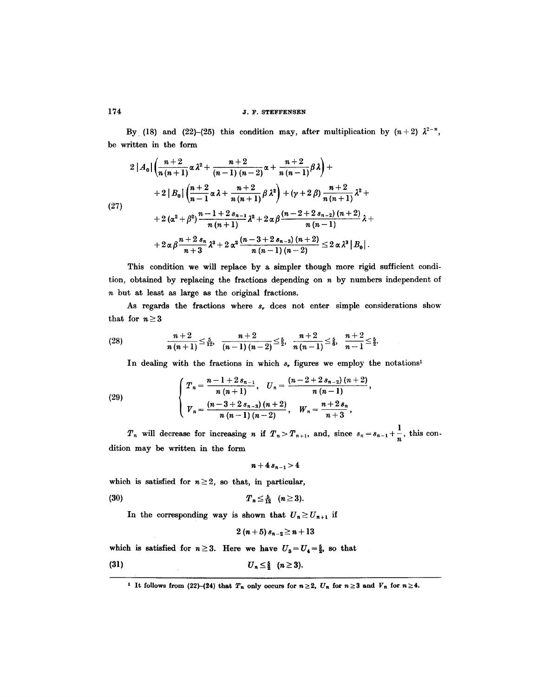### **174 J.F. STEFFENSEN**

By (18) and (22)-(25) this condition may, after multiplication by  $(n+2)$   $\lambda^{2-n}$ , be written in the form

$$
2|A_{0}|\left(\frac{n+2}{n(n+1)}\alpha\lambda^{2}+\frac{n+2}{(n-1)(n-2)}\alpha+\frac{n+2}{n(n-1)}\beta\lambda\right)++2|B_{0}|\left(\frac{n+2}{n-1}\alpha\lambda+\frac{n+2}{n(n+1)}\beta\lambda^{2}\right)+(\gamma+2)\beta)\frac{n+2}{n(n+1)}\lambda^{2}++2(\alpha^{2}+\beta^{2})\frac{n-1+2s_{n-1}}{n(n+1)}\lambda^{2}+2\alpha\beta\frac{(n-2+2s_{n-2})(n+2)}{n(n-1)}\lambda++2\alpha\beta\frac{n+2s_{n}}{n+3}\lambda^{3}+2\alpha^{2}\frac{(n-3+2s_{n-3})(n+2)}{n(n-1)(n-2)}\leq2\alpha\lambda^{3}|B_{0}|.
$$

This condition we will replace by a simpler though more rigid sufficient condition, obtained by replacing the fractions depending on  $n$  by numbers independent of n but at least as large as the original fractions.

As regards the fractions where  $s_r$  dces not enter simple considerations show that for  $n \geq 3$ 

(28) 
$$
\frac{n+2}{n(n+1)} \leq \frac{5}{12}, \quad \frac{n+2}{(n-1)(n-2)} \leq \frac{5}{2}, \quad \frac{n+2}{n(n-1)} \leq \frac{5}{6}, \quad \frac{n+2}{n-1} \leq \frac{5}{2}.
$$

In dealing with the fractions in which  $s_r$  figures we employ the notations<sup>1</sup>

(29) 
$$
\begin{cases} T_n = \frac{n-1+2s_{n-1}}{n(n+1)}, \quad U_n = \frac{(n-2+2s_{n-2})(n+2)}{n(n-1)}, \\ V_n = \frac{(n-3+2s_{n-3})(n+2)}{n(n-1)(n-2)}, \quad W_n = \frac{n+2s_n}{n+3}, \end{cases}
$$

 $T_n$  will decrease for increasing *n* if  $T_n > T_{n+1}$ , and, since  $s_n = s_{n-1} + \frac{1}{n}$ , this condition may be written in the form

$$
n+4\,s_{n-1}\!>\!4
$$

which is satisfied for  $n \geq 2$ , so that, in particular,

(30) 
$$
T_n \leq \frac{5}{12} \quad (n \geq 3).
$$

In the corresponding way is shown that  $U_n \ge U_{n+1}$  if

$$
2(n+5) s_{n-2} \geq n+13
$$

which is satisfied for  $n\geq 3$ . Here we have  $U_3=U_4=\frac{5}{2}$ , so that

$$
(31) \t\t\t U_n \leq \frac{5}{2} \quad (n \geq 3).
$$

<sup>&</sup>lt;sup>1</sup> It follows from (22)-(24) that  $T_n$  only occurs for  $n\geq 2$ ,  $U_n$  for  $n\geq 3$  and  $V_n$  for  $n\geq 4$ .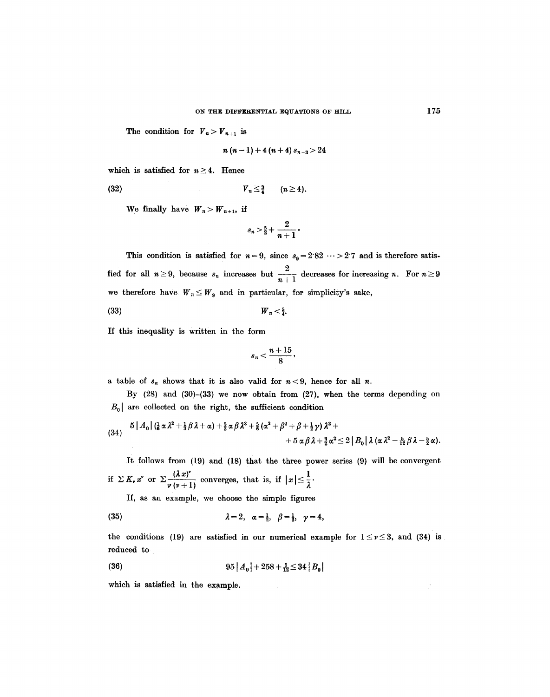The condition for  $V_n > V_{n+1}$  is

$$
n(n-1)+4(n+4) s_{n-3} > 24
$$

which is satisfied for  $n \geq 4$ . Hence

$$
(32) \t\t\t V_n \leq \frac{3}{4} \t (n \geq 4).
$$

We finally have  $W_n > W_{n+1}$ , if

$$
s_n>\tfrac{5}{2}+\frac{2}{n+1}\cdot
$$

This condition is satisfied for  $n=9$ , since  $s_9=2.82 \cdots >2.7$  and is therefore satisfied for all  $n \ge 9$ , because  $s_n$  increases but  $\frac{2}{n+1}$  decreases for increasing n. For  $n \ge 9$ we therefore have  $W_n \leq W_9$  and in particular, for simplicity's sake,

$$
(33) \t\t W_n < \frac{5}{4}.
$$

If this inequahty is written in the form

$$
s_n<\frac{n+15}{8},
$$

a table of  $s_n$  shows that it is also valid for  $n < 9$ , hence for all n.

By (28) and (30)-(33) we now obtain from (27), when the terms depending on  $B_0$  are collected on the right, the sufficient condition

$$
(34) \quad 5|A_0|\left(\frac{1}{6}\alpha\lambda^2+\frac{1}{3}\beta\lambda+\alpha\right)+\frac{5}{2}\alpha\beta\lambda^3+\frac{5}{6}\left(\alpha^2+\beta^2+\beta+\frac{1}{2}\gamma\right)\lambda^2+\\ +5\alpha\beta\lambda+\frac{3}{2}\alpha^2\leq 2\left|B_0\right|\lambda\left(\alpha\lambda^2-\frac{5}{12}\beta\lambda-\frac{5}{2}\alpha\right).
$$

It follows from (19) and (18) that the three power series (9) will be convergent if  $\sum K_i x^i$  or  $\sum \frac{(\lambda x)^i}{(x+i-1)!}$  converges, that is, if  $|x| \leq \frac{1}{2}$ .

If, as an example, we choose the simple figures

(35) 
$$
\lambda = 2, \alpha = \frac{1}{2}, \beta = \frac{1}{3}, \gamma = 4,
$$

the conditions (19) are satisfied in our numerical example for  $1 \leq v \leq 3$ , and (34) is reduced to

(36) 
$$
95|A_0| + 258 + \frac{5}{12} \le 34|B_0|
$$

which is satisfied in the example.

 $\hat{\tau}_i$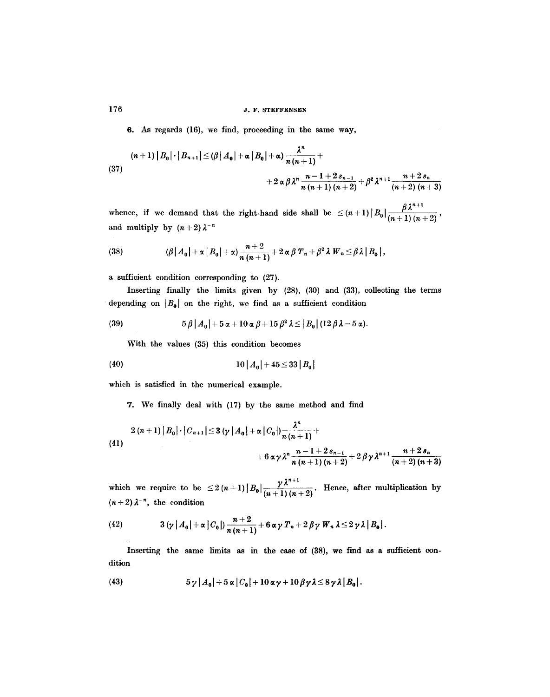## **176 176 176**

6. As regards (16), we find, proceeding in the same way,

(37)  
\n
$$
(n+1) |B_0| \cdot |B_{n+1}| \leq (\beta |A_0| + \alpha |B_0| + \alpha) \frac{\lambda^n}{n(n+1)} +
$$
\n
$$
+ 2 \alpha \beta \lambda^n \frac{n-1+2s_{n-1}}{n(n+1)(n+2)} + \beta^2 \lambda^{n+1} \frac{n+2s_n}{(n+2)(n+3)}
$$

whence, if we demand that the right-hand side shall be  $\leq (n+1) |B_0| \frac{\beta \lambda^{n+1}}{(n+1)(n+2)}$ , and multiply by  $(n+2) \lambda^{-n}$ 

(38) 
$$
(\beta |A_0| + \alpha |B_0| + \alpha) \frac{n+2}{n(n+1)} + 2 \alpha \beta T_n + \beta^2 \lambda W_n \leq \beta \lambda |B_0|,
$$

a sufficient condition corresponding to (27).

Inserting finally the limits given by (28), (30) and (33), collecting the terms depending on  $|B_0|$  on the right, we find as a sufficient condition

(39) 
$$
5\beta |A_0|+5\alpha+10\alpha\beta+15\beta^2\lambda\leq |B_0| (12\beta\lambda-5\alpha).
$$

With the values (35) this condition becomes

(40) 
$$
10|A_0|+45\leq 33|B_0|
$$

which is satisfied in the numerical example.

7. We finally deal with (17) by the same method and find

$$
2 (n+1) |B_0| \cdot |C_{n+1}| \le 3 (\gamma |A_0| + \alpha |C_0|) \frac{\lambda^n}{n (n+1)} +
$$
  
+6  $\alpha \gamma \lambda^n \frac{n-1+2 s_{n-1}}{n (n+1) (n+2)} + 2 \beta \gamma \lambda^{n+1} \frac{n+2 s_n}{(n+2) (n+3)}$ 

 $n^{n+1}$ which we require to be  $\leq 2(n+1) |B_0| \frac{1}{(n+1)(n+2)}$ . Hence, after multiplication by  $(n+2) \lambda^{-n}$ , the condition

(42) 
$$
3(\gamma |A_0| + \alpha |C_0|) \frac{n+2}{n(n+1)} + 6 \alpha \gamma T_n + 2 \beta \gamma W_n \lambda \leq 2 \gamma \lambda |B_0|.
$$

Inserting the same limits as in the case of (38), we find as a sufficient condition

(43) 
$$
5\gamma |A_0| + 5\alpha |C_0| + 10\alpha \gamma + 10\beta \gamma \lambda \leq 8\gamma \lambda |B_0|.
$$